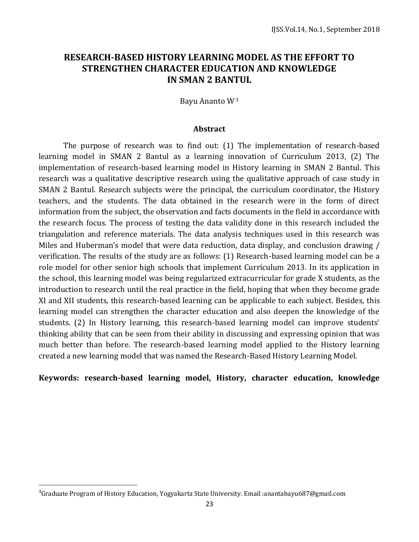# **RESEARCH-BASED HISTORY LEARNING MODEL AS THE EFFORT TO STRENGTHEN CHARACTER EDUCATION AND KNOWLEDGE IN SMAN 2 BANTUL**

Bayu Ananto W<sup>3</sup>

#### **Abstract**

The purpose of research was to find out: (1) The implementation of research-based learning model in SMAN 2 Bantul as a learning innovation of Curriculum 2013, (2) The implementation of research-based learning model in History learning in SMAN 2 Bantul. This research was a qualitative descriptive research using the qualitative approach of case study in SMAN 2 Bantul. Research subjects were the principal, the curriculum coordinator, the History teachers, and the students. The data obtained in the research were in the form of direct information from the subject, the observation and facts documents in the field in accordance with the research focus. The process of testing the data validity done in this research included the triangulation and reference materials. The data analysis techniques used in this research was Miles and Huberman's model that were data reduction, data display, and conclusion drawing / verification. The results of the study are as follows: (1) Research-based learning model can be a role model for other senior high schools that implement Curriculum 2013. In its application in the school, this learning model was being regularized extracurricular for grade X students, as the introduction to research until the real practice in the field, hoping that when they become grade XI and XII students, this research-based learning can be applicable to each subject. Besides, this learning model can strengthen the character education and also deepen the knowledge of the students. (2) In History learning, this research-based learning model can improve students' thinking ability that can be seen from their ability in discussing and expressing opinion that was much better than before. The research-based learning model applied to the History learning created a new learning model that was named the Research-Based History Learning Model.

### **Keywords: research-based learning model, History, character education, knowledge**

 $\overline{a}$ 

<sup>&</sup>lt;sup>3</sup>Graduate Program of History Education, Yogyakarta State University. Email :anantabayu687@gmail.com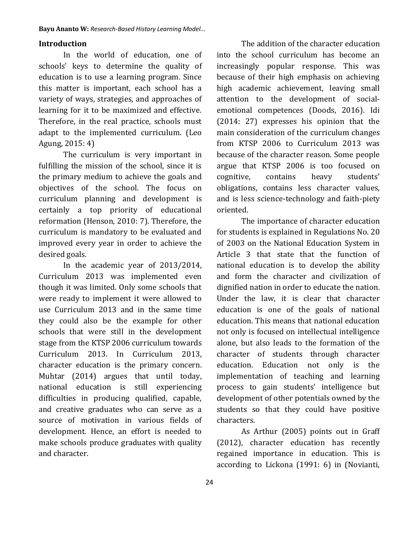#### **Introduction**

In the world of education, one of schools' keys to determine the quality of education is to use a learning program. Since this matter is important, each school has a variety of ways, strategies, and approaches of learning for it to be maximized and effective. Therefore, in the real practice, schools must adapt to the implemented curriculum. (Leo Agung, 2015: 4)

The curriculum is very important in fulfilling the mission of the school, since it is the primary medium to achieve the goals and objectives of the school. The focus on curriculum planning and development is certainly a top priority of educational reformation (Henson, 2010: 7). Therefore, the curriculum is mandatory to be evaluated and improved every year in order to achieve the desired goals.

In the academic year of 2013/2014, Curriculum 2013 was implemented even though it was limited. Only some schools that were ready to implement it were allowed to use Curriculum 2013 and in the same time they could also be the example for other schools that were still in the development stage from the KTSP 2006 curriculum towards Curriculum 2013. In Curriculum 2013, character education is the primary concern. Muhtar (2014) argues that until today, national education is still experiencing difficulties in producing qualified, capable, and creative graduates who can serve as a source of motivation in various fields of development. Hence, an effort is needed to make schools produce graduates with quality and character.

The addition of the character education into the school curriculum has become an increasingly popular response. This was because of their high emphasis on achieving high academic achievement, leaving small attention to the development of socialemotional competences (Doods, 2016). Idi (2014: 27) expresses his opinion that the main consideration of the curriculum changes from KTSP 2006 to Curriculum 2013 was because of the character reason. Some people argue that KTSP 2006 is too focused on cognitive, contains heavy students' obligations, contains less character values, and is less science-technology and faith-piety oriented.

The importance of character education for students is explained in Regulations No. 20 of 2003 on the National Education System in Article 3 that state that the function of national education is to develop the ability and form the character and civilization of dignified nation in order to educate the nation. Under the law, it is clear that character education is one of the goals of national education. This means that national education not only is focused on intellectual intelligence alone, but also leads to the formation of the character of students through character education. Education not only is the implementation of teaching and learning process to gain students' intelligence but development of other potentials owned by the students so that they could have positive characters.

As Arthur (2005) points out in Graff (2012), character education has recently regained importance in education. This is according to Lickona (1991: 6) in (Novianti,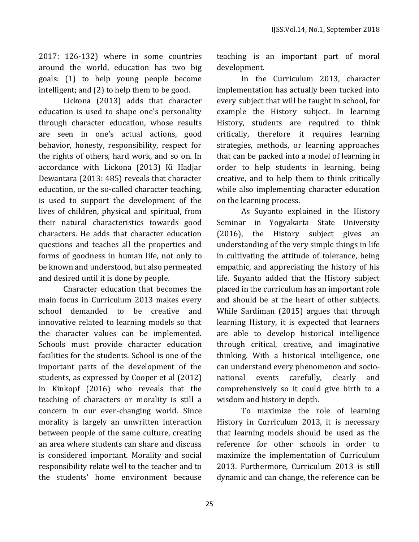2017: 126-132) where in some countries around the world, education has two big goals: (1) to help young people become intelligent; and (2) to help them to be good.

Lickona (2013) adds that character education is used to shape one's personality through character education, whose results are seen in one's actual actions, good behavior, honesty, responsibility, respect for the rights of others, hard work, and so on. In accordance with Lickona (2013) Ki Hadjar Dewantara (2013: 485) reveals that character education, or the so-called character teaching, is used to support the development of the lives of children, physical and spiritual, from their natural characteristics towards good characters. He adds that character education questions and teaches all the properties and forms of goodness in human life, not only to be known and understood, but also permeated and desired until it is done by people.

Character education that becomes the main focus in Curriculum 2013 makes every school demanded to be creative and innovative related to learning models so that the character values can be implemented. Schools must provide character education facilities for the students. School is one of the important parts of the development of the students, as expressed by Cooper et al (2012) in Kinkopf (2016) who reveals that the teaching of characters or morality is still a concern in our ever-changing world. Since morality is largely an unwritten interaction between people of the same culture, creating an area where students can share and discuss is considered important. Morality and social responsibility relate well to the teacher and to the students' home environment because teaching is an important part of moral development.

In the Curriculum 2013, character implementation has actually been tucked into every subject that will be taught in school, for example the History subject. In learning History, students are required to think critically, therefore it requires learning strategies, methods, or learning approaches that can be packed into a model of learning in order to help students in learning, being creative, and to help them to think critically while also implementing character education on the learning process.

As Suyanto explained in the History Seminar in Yogyakarta State University (2016), the History subject gives an understanding of the very simple things in life in cultivating the attitude of tolerance, being empathic, and appreciating the history of his life. Suyanto added that the History subject placed in the curriculum has an important role and should be at the heart of other subjects. While Sardiman (2015) argues that through learning History, it is expected that learners are able to develop historical intelligence through critical, creative, and imaginative thinking. With a historical intelligence, one can understand every phenomenon and socionational events carefully, clearly and comprehensively so it could give birth to a wisdom and history in depth.

To maximize the role of learning History in Curriculum 2013, it is necessary that learning models should be used as the reference for other schools in order to maximize the implementation of Curriculum 2013. Furthermore, Curriculum 2013 is still dynamic and can change, the reference can be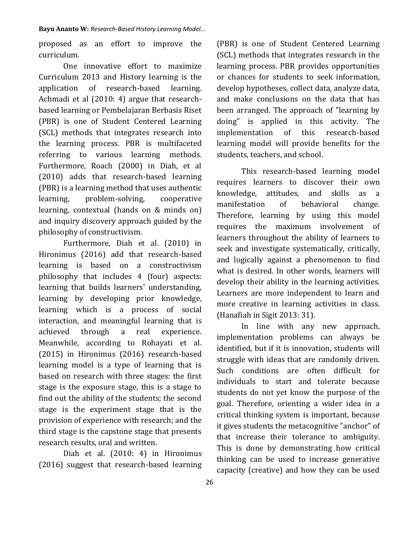proposed as an effort to improve the curriculum.

One innovative effort to maximize Curriculum 2013 and History learning is the application of research-based learning. Achmadi et al (2010: 4) argue that researchbased learning or Pembelajaran Berbasis Riset (PBR) is one of Student Centered Learning (SCL) methods that integrates research into the learning process. PBR is multifaceted referring to various learning methods. Furthermore, Roach (2000) in Diah, et al (2010) adds that research-based learning (PBR) is a learning method that uses authentic learning, problem-solving, cooperative learning, contextual (hands on & minds on) and inquiry discovery approach guided by the philosophy of constructivism.

Furthermore, Diah et al. (2010) in Hironimus (2016) add that research-based learning is based on a constructivism philosophy that includes 4 (four) aspects: learning that builds learners' understanding, learning by developing prior knowledge, learning which is a process of social interaction, and meaningful learning that is achieved through a real experience. Meanwhile, according to Rohayati et al. (2015) in Hironimus (2016) research-based learning model is a type of learning that is based on research with three stages: the first stage is the exposure stage, this is a stage to find out the ability of the students; the second stage is the experiment stage that is the provision of experience with research; and the third stage is the capstone stage that presents research results, oral and written.

Diah et al. (2010: 4) in Hironimus (2016) suggest that research-based learning

(PBR) is one of Student Centered Learning (SCL) methods that integrates research in the learning process. PBR provides opportunities or chances for students to seek information, develop hypotheses, collect data, analyze data, and make conclusions on the data that has been arranged. The approach of "learning by doing" is applied in this activity. The implementation of this research-based learning model will provide benefits for the students, teachers, and school.

This research-based learning model requires learners to discover their own knowledge, attitudes, and skills as a manifestation of behavioral change. Therefore, learning by using this model requires the maximum involvement of learners throughout the ability of learners to seek and investigate systematically, critically, and logically against a phenomenon to find what is desired. In other words, learners will develop their ability in the learning activities. Learners are more independent to learn and more creative in learning activities in class. (Hanafiah in Sigit 2013: 31).

In line with any new approach, implementation problems can always be identified, but if it is innovation, students will struggle with ideas that are randomly driven. Such conditions are often difficult for individuals to start and tolerate because students do not yet know the purpose of the goal. Therefore, orienting a wider idea in a critical thinking system is important, because it gives students the metacognitive "anchor" of that increase their tolerance to ambiguity. This is done by demonstrating how critical thinking can be used to increase generative capacity (creative) and how they can be used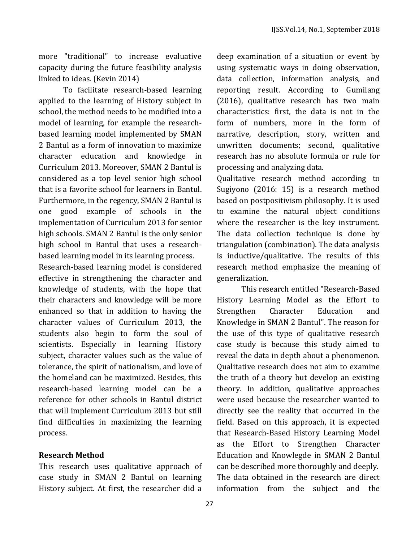more "traditional" to increase evaluative capacity during the future feasibility analysis linked to ideas. (Kevin 2014)

To facilitate research-based learning applied to the learning of History subject in school, the method needs to be modified into a model of learning, for example the researchbased learning model implemented by SMAN 2 Bantul as a form of innovation to maximize character education and knowledge in Curriculum 2013. Moreover, SMAN 2 Bantul is considered as a top level senior high school that is a favorite school for learners in Bantul. Furthermore, in the regency, SMAN 2 Bantul is one good example of schools in the implementation of Curriculum 2013 for senior high schools. SMAN 2 Bantul is the only senior high school in Bantul that uses a researchbased learning model in its learning process.

Research-based learning model is considered effective in strengthening the character and knowledge of students, with the hope that their characters and knowledge will be more enhanced so that in addition to having the character values of Curriculum 2013, the students also begin to form the soul of scientists. Especially in learning History subject, character values such as the value of tolerance, the spirit of nationalism, and love of the homeland can be maximized. Besides, this research-based learning model can be a reference for other schools in Bantul district that will implement Curriculum 2013 but still find difficulties in maximizing the learning process.

### **Research Method**

This research uses qualitative approach of case study in SMAN 2 Bantul on learning History subject. At first, the researcher did a

deep examination of a situation or event by using systematic ways in doing observation, data collection, information analysis, and reporting result. According to Gumilang (2016), qualitative research has two main characteristics: first, the data is not in the form of numbers, more in the form of narrative, description, story, written and unwritten documents; second, qualitative research has no absolute formula or rule for processing and analyzing data.

Qualitative research method according to Sugiyono (2016: 15) is a research method based on postpositivism philosophy. It is used to examine the natural object conditions where the researcher is the key instrument. The data collection technique is done by triangulation (combination). The data analysis is inductive/qualitative. The results of this research method emphasize the meaning of generalization.

This research entitled "Research-Based History Learning Model as the Effort to Strengthen Character Education and Knowledge in SMAN 2 Bantul". The reason for the use of this type of qualitative research case study is because this study aimed to reveal the data in depth about a phenomenon. Qualitative research does not aim to examine the truth of a theory but develop an existing theory. In addition, qualitative approaches were used because the researcher wanted to directly see the reality that occurred in the field. Based on this approach, it is expected that Research-Based History Learning Model as the Effort to Strengthen Character Education and Knowlegde in SMAN 2 Bantul can be described more thoroughly and deeply. The data obtained in the research are direct information from the subject and the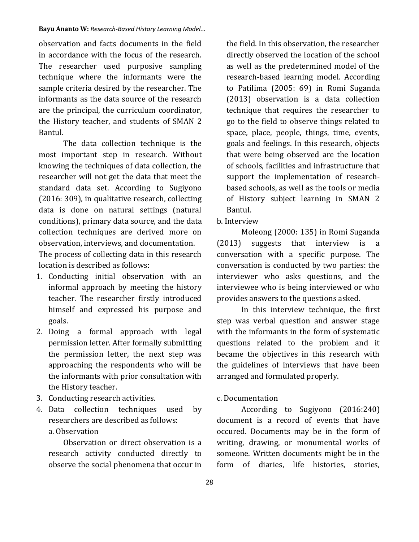observation and facts documents in the field in accordance with the focus of the research. The researcher used purposive sampling technique where the informants were the sample criteria desired by the researcher. The informants as the data source of the research are the principal, the curriculum coordinator, the History teacher, and students of SMAN 2 Bantul.

The data collection technique is the most important step in research. Without knowing the techniques of data collection, the researcher will not get the data that meet the standard data set. According to Sugiyono (2016: 309), in qualitative research, collecting data is done on natural settings (natural conditions), primary data source, and the data collection techniques are derived more on observation, interviews, and documentation.

The process of collecting data in this research location is described as follows:

- 1. Conducting initial observation with an informal approach by meeting the history teacher. The researcher firstly introduced himself and expressed his purpose and goals.
- 2. Doing a formal approach with legal permission letter. After formally submitting the permission letter, the next step was approaching the respondents who will be the informants with prior consultation with the History teacher.
- 3. Conducting research activities.
- 4. Data collection techniques used by researchers are described as follows:

a. Observation

Observation or direct observation is a research activity conducted directly to observe the social phenomena that occur in the field. In this observation, the researcher directly observed the location of the school as well as the predetermined model of the research-based learning model. According to Patilima (2005: 69) in Romi Suganda (2013) observation is a data collection technique that requires the researcher to go to the field to observe things related to space, place, people, things, time, events, goals and feelings. In this research, objects that were being observed are the location of schools, facilities and infrastructure that support the implementation of researchbased schools, as well as the tools or media of History subject learning in SMAN 2 Bantul.

#### b. Interview

Moleong (2000: 135) in Romi Suganda (2013) suggests that interview is a conversation with a specific purpose. The conversation is conducted by two parties: the interviewer who asks questions, and the interviewee who is being interviewed or who provides answers to the questions asked.

In this interview technique, the first step was verbal question and answer stage with the informants in the form of systematic questions related to the problem and it became the objectives in this research with the guidelines of interviews that have been arranged and formulated properly.

#### c. Documentation

According to Sugiyono (2016:240) document is a record of events that have occured. Documents may be in the form of writing, drawing, or monumental works of someone. Written documents might be in the form of diaries, life histories, stories,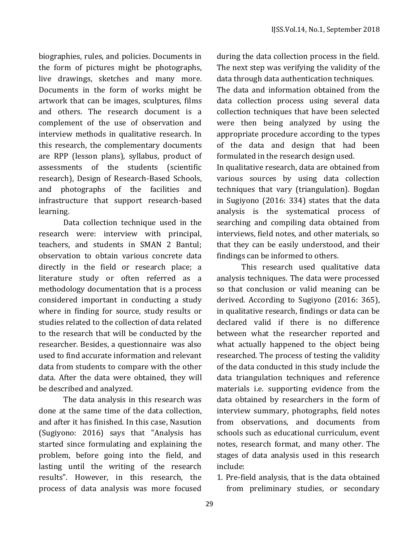biographies, rules, and policies. Documents in the form of pictures might be photographs, live drawings, sketches and many more. Documents in the form of works might be artwork that can be images, sculptures, films and others. The research document is a complement of the use of observation and interview methods in qualitative research. In this research, the complementary documents are RPP (lesson plans), syllabus, product of assessments of the students (scientific research), Design of Research-Based Schools, and photographs of the facilities and infrastructure that support research-based learning.

Data collection technique used in the research were: interview with principal, teachers, and students in SMAN 2 Bantul; observation to obtain various concrete data directly in the field or research place; a literature study or often referred as a methodology documentation that is a process considered important in conducting a study where in finding for source, study results or studies related to the collection of data related to the research that will be conducted by the researcher. Besides, a questionnaire was also used to find accurate information and relevant data from students to compare with the other data. After the data were obtained, they will be described and analyzed.

The data analysis in this research was done at the same time of the data collection, and after it has finished. In this case, Nasution (Sugiyono: 2016) says that "Analysis has started since formulating and explaining the problem, before going into the field, and lasting until the writing of the research results". However, in this research, the process of data analysis was more focused

during the data collection process in the field. The next step was verifying the validity of the data through data authentication techniques.

The data and information obtained from the data collection process using several data collection techniques that have been selected were then being analyzed by using the appropriate procedure according to the types of the data and design that had been formulated in the research design used.

In qualitative research, data are obtained from various sources by using data collection techniques that vary (triangulation). Bogdan in Sugiyono (2016: 334) states that the data analysis is the systematical process of searching and compiling data obtained from interviews, field notes, and other materials, so that they can be easily understood, and their findings can be informed to others.

This research used qualitative data analysis techniques. The data were processed so that conclusion or valid meaning can be derived. According to Sugiyono (2016: 365), in qualitative research, findings or data can be declared valid if there is no difference between what the researcher reported and what actually happened to the object being researched. The process of testing the validity of the data conducted in this study include the data triangulation techniques and reference materials i.e. supporting evidence from the data obtained by researchers in the form of interview summary, photographs, field notes from observations, and documents from schools such as educational curriculum, event notes, research format, and many other. The stages of data analysis used in this research include:

1. Pre-field analysis, that is the data obtained from preliminary studies, or secondary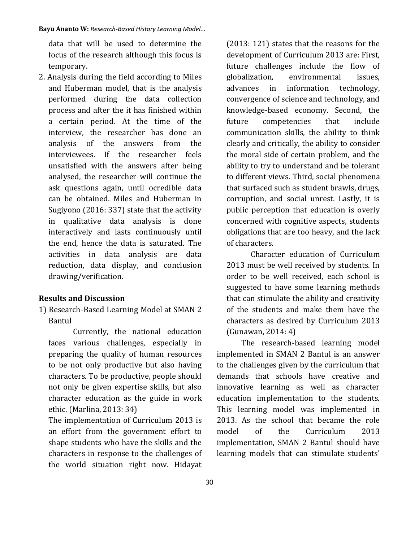data that will be used to determine the focus of the research although this focus is temporary.

2. Analysis during the field according to Miles and Huberman model, that is the analysis performed during the data collection process and after the it has finished within a certain period. At the time of the interview, the researcher has done an analysis of the answers from the interviewees. If the researcher feels unsatisfied with the answers after being analysed, the researcher will continue the ask questions again, until ocredible data can be obtained. Miles and Huberman in Sugiyono (2016: 337) state that the activity in qualitative data analysis is done interactively and lasts continuously until the end, hence the data is saturated. The activities in data analysis are data reduction, data display, and conclusion drawing/verification.

### **Results and Discussion**

1) Research-Based Learning Model at SMAN 2 Bantul

Currently, the national education faces various challenges, especially in preparing the quality of human resources to be not only productive but also having characters. To be productive, people should not only be given expertise skills, but also character education as the guide in work ethic. (Marlina, 2013: 34)

The implementation of Curriculum 2013 is an effort from the government effort to shape students who have the skills and the characters in response to the challenges of the world situation right now. Hidayat (2013: 121) states that the reasons for the development of Curriculum 2013 are: First, future challenges include the flow of globalization, environmental issues, advances in information technology, convergence of science and technology, and knowledge-based economy. Second, the future competencies that include communication skills, the ability to think clearly and critically, the ability to consider the moral side of certain problem, and the ability to try to understand and be tolerant to different views. Third, social phenomena that surfaced such as student brawls, drugs, corruption, and social unrest. Lastly, it is public perception that education is overly concerned with cognitive aspects, students obligations that are too heavy, and the lack of characters.

Character education of Curriculum 2013 must be well received by students. In order to be well received, each school is suggested to have some learning methods that can stimulate the ability and creativity of the students and make them have the characters as desired by Curriculum 2013 (Gunawan, 2014: 4)

The research-based learning model implemented in SMAN 2 Bantul is an answer to the challenges given by the curriculum that demands that schools have creative and innovative learning as well as character education implementation to the students. This learning model was implemented in 2013. As the school that became the role model of the Curriculum 2013 implementation, SMAN 2 Bantul should have learning models that can stimulate students'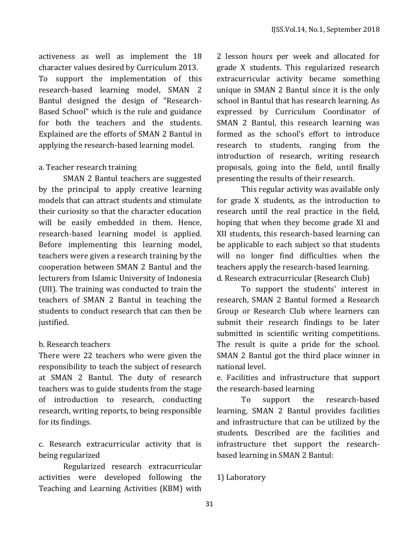activeness as well as implement the 18 character values desired by Curriculum 2013. To support the implementation of this research-based learning model, SMAN 2 Bantul designed the design of "Research-Based School" which is the rule and guidance for both the teachers and the students. Explained are the efforts of SMAN 2 Bantul in applying the research-based learning model.

## a. Teacher research training

SMAN 2 Bantul teachers are suggested by the principal to apply creative learning models that can attract students and stimulate their curiosity so that the character education will be easily embedded in them. Hence, research-based learning model is applied. Before implementing this learning model, teachers were given a research training by the cooperation between SMAN 2 Bantul and the lecturers from Islamic University of Indonesia (UII). The training was conducted to train the teachers of SMAN 2 Bantul in teaching the students to conduct research that can then be justified.

## b. Research teachers

There were 22 teachers who were given the responsibility to teach the subject of research at SMAN 2 Bantul. The duty of research teachers was to guide students from the stage of introduction to research, conducting research, writing reports, to being responsible for its findings.

c. Research extracurricular activity that is being regularized

Regularized research extracurricular activities were developed following the Teaching and Learning Activities (KBM) with

2 lesson hours per week and allocated for grade X students. This regularized research extracurricular activity became something unique in SMAN 2 Bantul since it is the only school in Bantul that has research learning. As expressed by Curriculum Coordinator of SMAN 2 Bantul, this research learning was formed as the school's effort to introduce research to students, ranging from the introduction of research, writing research proposals, going into the field, until finally presenting the results of their research.

This regular activity was available only for grade X students, as the introduction to research until the real practice in the field, hoping that when they become grade XI and XII students, this research-based learning can be applicable to each subject so that students will no longer find difficulties when the teachers apply the research-based learning. d. Research extracurricular (Research Club)

To support the students' interest in research, SMAN 2 Bantul formed a Research Group or Research Club where learners can submit their research findings to be later submitted in scientific writing competitions. The result is quite a pride for the school. SMAN 2 Bantul got the third place winner in national level.

e. Facilities and infrastructure that support the research-based learning

To support the research-based learning, SMAN 2 Bantul provides facilities and infrastructure that can be utilized by the students. Described are the facilities and infrastructure thet support the researchbased learning in SMAN 2 Bantul:

1) Laboratory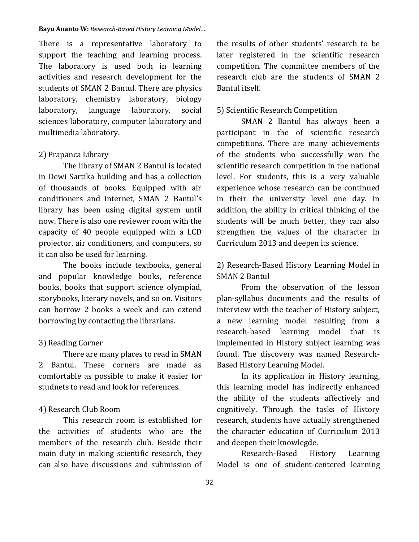There is a representative laboratory to support the teaching and learning process. The laboratory is used both in learning activities and research development for the students of SMAN 2 Bantul. There are physics laboratory, chemistry laboratory, biology laboratory, language laboratory, social sciences laboratory, computer laboratory and multimedia laboratory.

### 2) Prapanca Library

The library of SMAN 2 Bantul is located in Dewi Sartika building and has a collection of thousands of books. Equipped with air conditioners and internet, SMAN 2 Bantul's library has been using digital system until now. There is also one reviewer room with the capacity of 40 people equipped with a LCD projector, air conditioners, and computers, so it can also be used for learning.

The books include textbooks, general and popular knowledge books, reference books, books that support science olympiad, storybooks, literary novels, and so on. Visitors can borrow 2 books a week and can extend borrowing by contacting the librarians.

#### 3) Reading Corner

There are many places to read in SMAN 2 Bantul. These corners are made as comfortable as possible to make it easier for studnets to read and look for references.

#### 4) Research Club Room

This research room is established for the activities of students who are the members of the research club. Beside their main duty in making scientific research, they can also have discussions and submission of the results of other students' research to be later registered in the scientific research competition. The committee members of the research club are the students of SMAN 2 Bantul itself.

#### 5) Scientific Research Competition

SMAN 2 Bantul has always been a participant in the of scientific research competitions. There are many achievements of the students who successfully won the scientific research competition in the national level. For students, this is a very valuable experience whose research can be continued in their the university level one day. In addition, the ability in critical thinking of the students will be much better, they can also strengthen the values of the character in Curriculum 2013 and deepen its science.

## 2) Research-Based History Learning Model in SMAN 2 Bantul

From the observation of the lesson plan-syllabus documents and the results of interview with the teacher of History subject, a new learning model resulting from a research-based learning model that is implemented in History subject learning was found. The discovery was named Research-Based History Learning Model.

In its application in History learning, this learning model has indirectly enhanced the ability of the students affectively and cognitively. Through the tasks of History research, students have actually strengthened the character education of Curriculum 2013 and deepen their knowlegde.

Research-Based History Learning Model is one of student-centered learning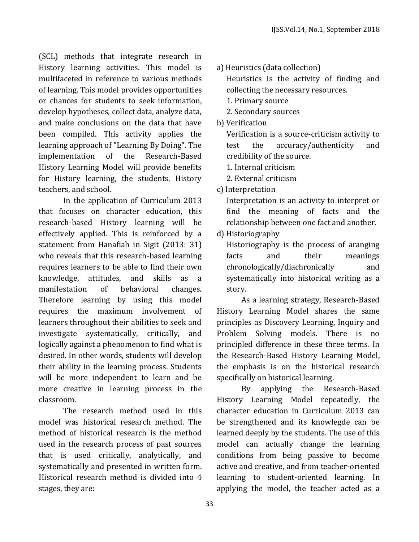(SCL) methods that integrate research in History learning activities. This model is multifaceted in reference to various methods of learning. This model provides opportunities or chances for students to seek information, develop hypotheses, collect data, analyze data, and make conclusions on the data that have been compiled. This activity applies the learning approach of "Learning By Doing". The implementation of the Research-Based History Learning Model will provide benefits for History learning, the students, History teachers, and school.

In the application of Curriculum 2013 that focuses on character education, this research-based History learning will be effectively applied. This is reinforced by a statement from Hanafiah in Sigit (2013: 31) who reveals that this research-based learning requires learners to be able to find their own knowledge, attitudes, and skills as a manifestation of behavioral changes. Therefore learning by using this model requires the maximum involvement of learners throughout their abilities to seek and investigate systematically, critically, and logically against a phenomenon to find what is desired. In other words, students will develop their ability in the learning process. Students will be more independent to learn and be more creative in learning process in the classroom.

The research method used in this model was historical research method. The method of historical research is the method used in the research process of past sources that is used critically, analytically, and systematically and presented in written form. Historical research method is divided into 4 stages, they are:

a) Heuristics (data collection)

Heuristics is the activity of finding and collecting the necessary resources.

- 1. Primary source
- 2. Secondary sources
- b) Verification

Verification is a source-criticism activity to test the accuracy/authenticity and credibility of the source.

- 1. Internal criticism
- 2. External criticism

c) Interpretation

Interpretation is an activity to interpret or find the meaning of facts and the relationship between one fact and another.

d) Historiography

Historiography is the process of aranging facts and their meanings chronologically/diachronically and systematically into historical writing as a story.

As a learning strategy, Research-Based History Learning Model shares the same principles as Discovery Learning, Inquiry and Problem Solving models. There is no principled difference in these three terms. In the Research-Based History Learning Model, the emphasis is on the historical research specifically on historical learning.

By applying the Research-Based History Learning Model repeatedly, the character education in Curriculum 2013 can be strengthened and its knowlegde can be learned deeply by the students. The use of this model can actually change the learning conditions from being passive to become active and creative, and from teacher-oriented learning to student-oriented learning. In applying the model, the teacher acted as a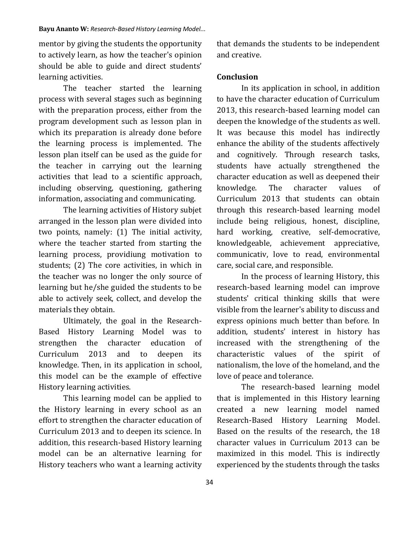#### **Bayu Ananto W:** *Research-Based History Learning Model...*

mentor by giving the students the opportunity to actively learn, as how the teacher's opinion should be able to guide and direct students' learning activities.

The teacher started the learning process with several stages such as beginning with the preparation process, either from the program development such as lesson plan in which its preparation is already done before the learning process is implemented. The lesson plan itself can be used as the guide for the teacher in carrying out the learning activities that lead to a scientific approach, including observing, questioning, gathering information, associating and communicating.

The learning activities of History subjet arranged in the lesson plan were divided into two points, namely: (1) The initial activity, where the teacher started from starting the learning process, providiung motivation to students; (2) The core activities, in which in the teacher was no longer the only source of learning but he/she guided the students to be able to actively seek, collect, and develop the materials they obtain.

Ultimately, the goal in the Research-Based History Learning Model was to strengthen the character education of Curriculum 2013 and to deepen its knowledge. Then, in its application in school, this model can be the example of effective History learning activities.

This learning model can be applied to the History learning in every school as an effort to strengthen the character education of Curriculum 2013 and to deepen its science. In addition, this research-based History learning model can be an alternative learning for History teachers who want a learning activity that demands the students to be independent and creative.

### **Conclusion**

In its application in school, in addition to have the character education of Curriculum 2013, this research-based learning model can deepen the knowledge of the students as well. It was because this model has indirectly enhance the ability of the students affectively and cognitively. Through research tasks, students have actually strengthened the character education as well as deepened their knowledge. The character values of Curriculum 2013 that students can obtain through this research-based learning model include being religious, honest, discipline, hard working, creative, self-democrative, knowledgeable, achievement appreciative, communicativ, love to read, environmental care, social care, and responsible.

In the process of learning History, this research-based learning model can improve students' critical thinking skills that were visible from the learner's ability to discuss and express opinions much better than before. In addition, students' interest in history has increased with the strengthening of the characteristic values of the spirit of nationalism, the love of the homeland, and the love of peace and tolerance.

The research-based learning model that is implemented in this History learning created a new learning model named Research-Based History Learning Model. Based on the results of the research, the 18 character values in Curriculum 2013 can be maximized in this model. This is indirectly experienced by the students through the tasks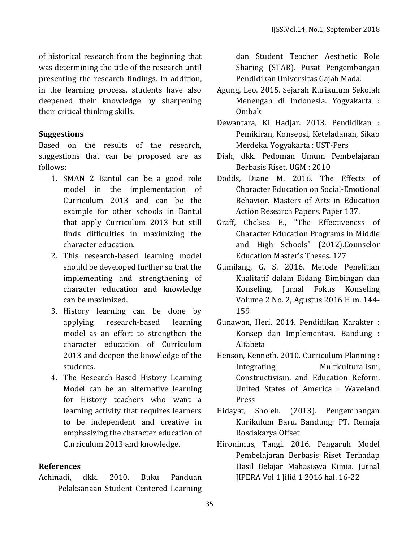of historical research from the beginning that was determining the title of the research until presenting the research findings. In addition, in the learning process, students have also deepened their knowledge by sharpening their critical thinking skills.

## **Suggestions**

Based on the results of the research, suggestions that can be proposed are as follows:

- 1. SMAN 2 Bantul can be a good role model in the implementation of Curriculum 2013 and can be the example for other schools in Bantul that apply Curriculum 2013 but still finds difficulties in maximizing the character education.
- 2. This research-based learning model should be developed further so that the implementing and strengthening of character education and knowledge can be maximized.
- 3. History learning can be done by applying research-based learning model as an effort to strengthen the character education of Curriculum 2013 and deepen the knowledge of the students.
- 4. The Research-Based History Learning Model can be an alternative learning for History teachers who want a learning activity that requires learners to be independent and creative in emphasizing the character education of Curriculum 2013 and knowledge.

### **References**

Achmadi, dkk. 2010. Buku Panduan Pelaksanaan Student Centered Learning

dan Student Teacher Aesthetic Role Sharing (STAR). Pusat Pengembangan Pendidikan Universitas Gajah Mada.

- Agung, Leo. 2015. Sejarah Kurikulum Sekolah Menengah di Indonesia. Yogyakarta : Ombak
- Dewantara, Ki Hadjar. 2013. Pendidikan : Pemikiran, Konsepsi, Keteladanan, Sikap Merdeka. Yogyakarta : UST-Pers
- Diah, dkk. Pedoman Umum Pembelajaran Berbasis Riset. UGM : 2010
- Dodds, Diane M. 2016. The Effects of Character Education on Social-Emotional Behavior. Masters of Arts in Education Action Research Papers. Paper 137.
- Graff, Chelsea E., "The Effectiveness of Character Education Programs in Middle and High Schools" (2012).Counselor Education Master's Theses. 127
- Gumilang, G. S. 2016. Metode Penelitian Kualitatif dalam Bidang Bimbingan dan Konseling. Jurnal Fokus Konseling Volume 2 No. 2, Agustus 2016 Hlm. 144- 159
- Gunawan, Heri. 2014. Pendidikan Karakter : Konsep dan Implementasi. Bandung : Alfabeta
- Henson, Kenneth. 2010. Curriculum Planning : Integrating Multiculturalism, Constructivism, and Education Reform. United States of America : Waveland Press
- Hidayat, Sholeh. (2013). Pengembangan Kurikulum Baru. Bandung: PT. Remaja Rosdakarya Offset
- Hironimus, Tangi. 2016. Pengaruh Model Pembelajaran Berbasis Riset Terhadap Hasil Belajar Mahasiswa Kimia. Jurnal JIPERA Vol 1 Jilid 1 2016 hal. 16-22